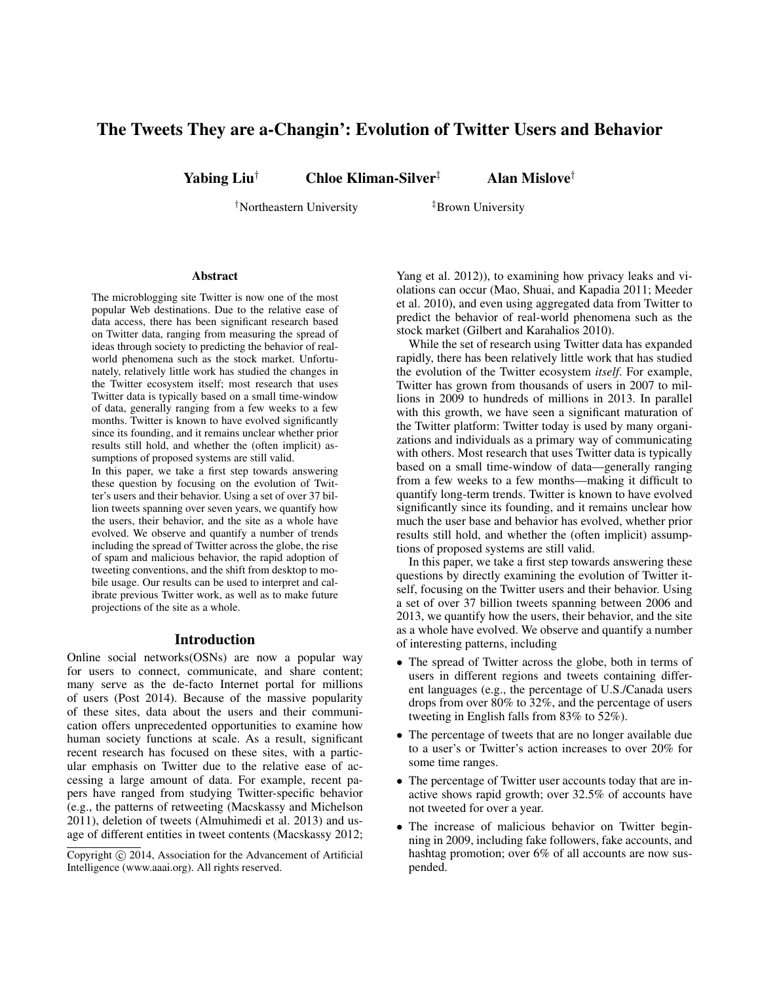# The Tweets They are a-Changin': Evolution of Twitter Users and Behavior

Yabing Liu<sup>†</sup> Chloe Kliman-Silver<sup>‡</sup> Alan Mislove<sup>†</sup>

†Northeastern University ‡Brown University

#### Abstract

The microblogging site Twitter is now one of the most popular Web destinations. Due to the relative ease of data access, there has been significant research based on Twitter data, ranging from measuring the spread of ideas through society to predicting the behavior of realworld phenomena such as the stock market. Unfortunately, relatively little work has studied the changes in the Twitter ecosystem itself; most research that uses Twitter data is typically based on a small time-window of data, generally ranging from a few weeks to a few months. Twitter is known to have evolved significantly since its founding, and it remains unclear whether prior results still hold, and whether the (often implicit) assumptions of proposed systems are still valid.

In this paper, we take a first step towards answering these question by focusing on the evolution of Twitter's users and their behavior. Using a set of over 37 billion tweets spanning over seven years, we quantify how the users, their behavior, and the site as a whole have evolved. We observe and quantify a number of trends including the spread of Twitter across the globe, the rise of spam and malicious behavior, the rapid adoption of tweeting conventions, and the shift from desktop to mobile usage. Our results can be used to interpret and calibrate previous Twitter work, as well as to make future projections of the site as a whole.

#### Introduction

Online social networks(OSNs) are now a popular way for users to connect, communicate, and share content; many serve as the de-facto Internet portal for millions of users (Post 2014). Because of the massive popularity of these sites, data about the users and their communication offers unprecedented opportunities to examine how human society functions at scale. As a result, significant recent research has focused on these sites, with a particular emphasis on Twitter due to the relative ease of accessing a large amount of data. For example, recent papers have ranged from studying Twitter-specific behavior (e.g., the patterns of retweeting (Macskassy and Michelson 2011), deletion of tweets (Almuhimedi et al. 2013) and usage of different entities in tweet contents (Macskassy 2012;

Yang et al. 2012)), to examining how privacy leaks and violations can occur (Mao, Shuai, and Kapadia 2011; Meeder et al. 2010), and even using aggregated data from Twitter to predict the behavior of real-world phenomena such as the stock market (Gilbert and Karahalios 2010).

While the set of research using Twitter data has expanded rapidly, there has been relatively little work that has studied the evolution of the Twitter ecosystem *itself*. For example, Twitter has grown from thousands of users in 2007 to millions in 2009 to hundreds of millions in 2013. In parallel with this growth, we have seen a significant maturation of the Twitter platform: Twitter today is used by many organizations and individuals as a primary way of communicating with others. Most research that uses Twitter data is typically based on a small time-window of data—generally ranging from a few weeks to a few months—making it difficult to quantify long-term trends. Twitter is known to have evolved significantly since its founding, and it remains unclear how much the user base and behavior has evolved, whether prior results still hold, and whether the (often implicit) assumptions of proposed systems are still valid.

In this paper, we take a first step towards answering these questions by directly examining the evolution of Twitter itself, focusing on the Twitter users and their behavior. Using a set of over 37 billion tweets spanning between 2006 and 2013, we quantify how the users, their behavior, and the site as a whole have evolved. We observe and quantify a number of interesting patterns, including

- The spread of Twitter across the globe, both in terms of users in different regions and tweets containing different languages (e.g., the percentage of U.S./Canada users drops from over 80% to 32%, and the percentage of users tweeting in English falls from 83% to 52%).
- The percentage of tweets that are no longer available due to a user's or Twitter's action increases to over 20% for some time ranges.
- The percentage of Twitter user accounts today that are inactive shows rapid growth; over 32.5% of accounts have not tweeted for over a year.
- The increase of malicious behavior on Twitter beginning in 2009, including fake followers, fake accounts, and hashtag promotion; over 6% of all accounts are now suspended.

Copyright (c) 2014, Association for the Advancement of Artificial Intelligence (www.aaai.org). All rights reserved.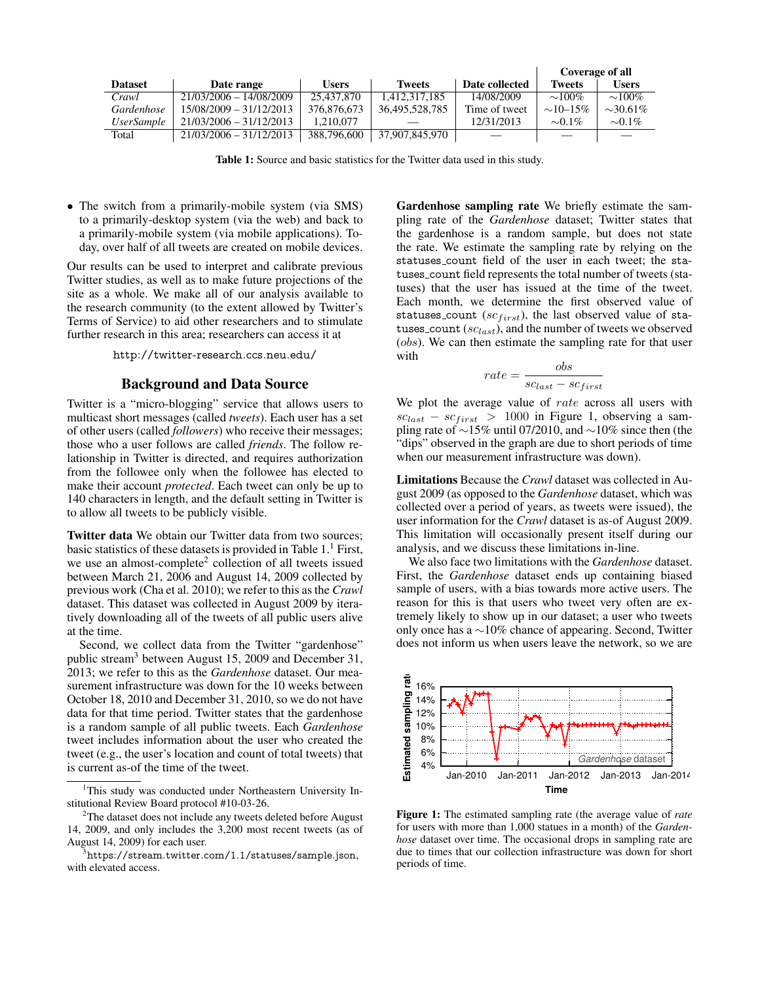|                          |                           |              |                |                | Coverage of all |                |
|--------------------------|---------------------------|--------------|----------------|----------------|-----------------|----------------|
| <b>Dataset</b>           | Date range                | <b>Users</b> | <b>Tweets</b>  | Date collected | <b>Tweets</b>   | <b>Users</b>   |
| Crawl                    | 21/03/2006 - 14/08/2009   | 25,437,870   | 1.412.317.185  | 14/08/2009     | $\sim 100\%$    | $\sim 100\%$   |
| Gardenhose               | 15/08/2009 - 31/12/2013   | 376,876,673  | 36,495,528,785 | Time of tweet  | $\sim$ 10–15%   | $\sim 30.61\%$ |
| <i><b>UserSample</b></i> | $21/03/2006 - 31/12/2013$ | 1.210.077    |                | 12/31/2013     | $\sim 0.1\%$    | $\sim 0.1\%$   |
| Total                    | $21/03/2006 - 31/12/2013$ | 388,796,600  | 37,907,845,970 |                |                 |                |

Table 1: Source and basic statistics for the Twitter data used in this study.

• The switch from a primarily-mobile system (via SMS) to a primarily-desktop system (via the web) and back to a primarily-mobile system (via mobile applications). Today, over half of all tweets are created on mobile devices.

Our results can be used to interpret and calibrate previous Twitter studies, as well as to make future projections of the site as a whole. We make all of our analysis available to the research community (to the extent allowed by Twitter's Terms of Service) to aid other researchers and to stimulate further research in this area; researchers can access it at

http://twitter-research.ccs.neu.edu/

## Background and Data Source

Twitter is a "micro-blogging" service that allows users to multicast short messages (called *tweets*). Each user has a set of other users (called *followers*) who receive their messages; those who a user follows are called *friends*. The follow relationship in Twitter is directed, and requires authorization from the followee only when the followee has elected to make their account *protected*. Each tweet can only be up to 140 characters in length, and the default setting in Twitter is to allow all tweets to be publicly visible.

Twitter data We obtain our Twitter data from two sources; basic statistics of these datasets is provided in Table  $1<sup>1</sup>$  First, we use an almost-complete<sup>2</sup> collection of all tweets issued between March 21, 2006 and August 14, 2009 collected by previous work (Cha et al. 2010); we refer to this as the *Crawl* dataset. This dataset was collected in August 2009 by iteratively downloading all of the tweets of all public users alive at the time.

Second, we collect data from the Twitter "gardenhose" public stream<sup>3</sup> between August 15, 2009 and December 31, 2013; we refer to this as the *Gardenhose* dataset. Our measurement infrastructure was down for the 10 weeks between October 18, 2010 and December 31, 2010, so we do not have data for that time period. Twitter states that the gardenhose is a random sample of all public tweets. Each *Gardenhose* tweet includes information about the user who created the tweet (e.g., the user's location and count of total tweets) that is current as-of the time of the tweet.

Gardenhose sampling rate We briefly estimate the sampling rate of the *Gardenhose* dataset; Twitter states that the gardenhose is a random sample, but does not state the rate. We estimate the sampling rate by relying on the statuses count field of the user in each tweet; the statuses count field represents the total number of tweets (statuses) that the user has issued at the time of the tweet. Each month, we determine the first observed value of statuses\_count ( $sc_{first}$ ), the last observed value of statuses count  $(s_{\text{clast}})$ , and the number of tweets we observed (obs). We can then estimate the sampling rate for that user with

$$
rate = \frac{obs}{sc_{last} - sc_{first}}
$$

We plot the average value of rate across all users with  $sc_{last} - sc_{first} > 1000$  in Figure 1, observing a sampling rate of ∼15% until 07/2010, and ∼10% since then (the "dips" observed in the graph are due to short periods of time when our measurement infrastructure was down).

Limitations Because the *Crawl* dataset was collected in August 2009 (as opposed to the *Gardenhose* dataset, which was collected over a period of years, as tweets were issued), the user information for the *Crawl* dataset is as-of August 2009. This limitation will occasionally present itself during our analysis, and we discuss these limitations in-line.

We also face two limitations with the *Gardenhose* dataset. First, the *Gardenhose* dataset ends up containing biased sample of users, with a bias towards more active users. The reason for this is that users who tweet very often are extremely likely to show up in our dataset; a user who tweets only once has a ∼10% chance of appearing. Second, Twitter does not inform us when users leave the network, so we are



Figure 1: The estimated sampling rate (the average value of *rate* for users with more than 1,000 statues in a month) of the *Gardenhose* dataset over time. The occasional drops in sampling rate are due to times that our collection infrastructure was down for short periods of time.

<sup>&</sup>lt;sup>1</sup>This study was conducted under Northeastern University Institutional Review Board protocol #10-03-26.

 $2$ The dataset does not include any tweets deleted before August 14, 2009, and only includes the 3,200 most recent tweets (as of August 14, 2009) for each user.

 $3$ https://stream.twitter.com/1.1/statuses/sample.json, with elevated access.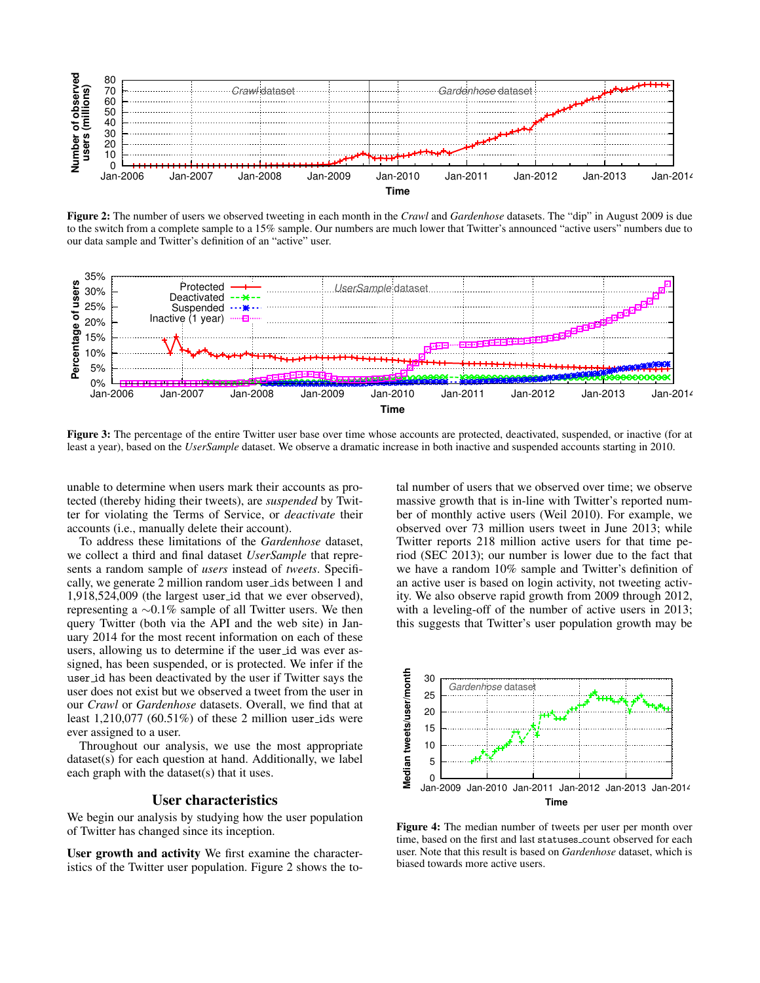

Figure 2: The number of users we observed tweeting in each month in the *Crawl* and *Gardenhose* datasets. The "dip" in August 2009 is due to the switch from a complete sample to a 15% sample. Our numbers are much lower that Twitter's announced "active users" numbers due to our data sample and Twitter's definition of an "active" user.



Figure 3: The percentage of the entire Twitter user base over time whose accounts are protected, deactivated, suspended, or inactive (for at least a year), based on the *UserSample* dataset. We observe a dramatic increase in both inactive and suspended accounts starting in 2010.

unable to determine when users mark their accounts as protected (thereby hiding their tweets), are *suspended* by Twitter for violating the Terms of Service, or *deactivate* their accounts (i.e., manually delete their account).

To address these limitations of the *Gardenhose* dataset, we collect a third and final dataset *UserSample* that represents a random sample of *users* instead of *tweets*. Specifically, we generate 2 million random user ids between 1 and 1,918,524,009 (the largest user id that we ever observed), representing a ∼0.1% sample of all Twitter users. We then query Twitter (both via the API and the web site) in January 2014 for the most recent information on each of these users, allowing us to determine if the user id was ever assigned, has been suspended, or is protected. We infer if the user id has been deactivated by the user if Twitter says the user does not exist but we observed a tweet from the user in our *Crawl* or *Gardenhose* datasets. Overall, we find that at least  $1,210,077$  (60.51%) of these 2 million user ids were ever assigned to a user.

Throughout our analysis, we use the most appropriate dataset(s) for each question at hand. Additionally, we label each graph with the dataset(s) that it uses.

### User characteristics

We begin our analysis by studying how the user population of Twitter has changed since its inception.

User growth and activity We first examine the characteristics of the Twitter user population. Figure 2 shows the to-

tal number of users that we observed over time; we observe massive growth that is in-line with Twitter's reported number of monthly active users (Weil 2010). For example, we observed over 73 million users tweet in June 2013; while Twitter reports 218 million active users for that time period (SEC 2013); our number is lower due to the fact that we have a random 10% sample and Twitter's definition of an active user is based on login activity, not tweeting activity. We also observe rapid growth from 2009 through 2012, with a leveling-off of the number of active users in 2013; this suggests that Twitter's user population growth may be



Figure 4: The median number of tweets per user per month over time, based on the first and last statuses count observed for each user. Note that this result is based on *Gardenhose* dataset, which is biased towards more active users.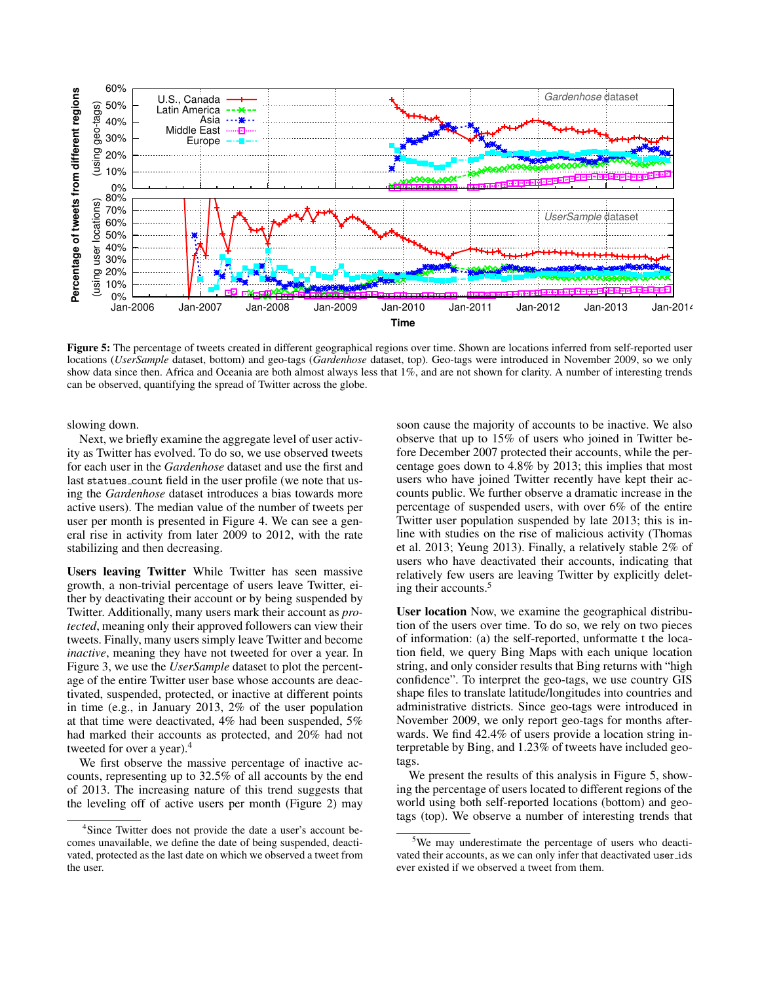

Figure 5: The percentage of tweets created in different geographical regions over time. Shown are locations inferred from self-reported user locations (*UserSample* dataset, bottom) and geo-tags (*Gardenhose* dataset, top). Geo-tags were introduced in November 2009, so we only show data since then. Africa and Oceania are both almost always less that 1%, and are not shown for clarity. A number of interesting trends can be observed, quantifying the spread of Twitter across the globe.

slowing down.

Next, we briefly examine the aggregate level of user activity as Twitter has evolved. To do so, we use observed tweets for each user in the *Gardenhose* dataset and use the first and last statues\_count field in the user profile (we note that using the *Gardenhose* dataset introduces a bias towards more active users). The median value of the number of tweets per user per month is presented in Figure 4. We can see a general rise in activity from later 2009 to 2012, with the rate stabilizing and then decreasing.

Users leaving Twitter While Twitter has seen massive growth, a non-trivial percentage of users leave Twitter, either by deactivating their account or by being suspended by Twitter. Additionally, many users mark their account as *protected*, meaning only their approved followers can view their tweets. Finally, many users simply leave Twitter and become *inactive*, meaning they have not tweeted for over a year. In Figure 3, we use the *UserSample* dataset to plot the percentage of the entire Twitter user base whose accounts are deactivated, suspended, protected, or inactive at different points in time (e.g., in January 2013, 2% of the user population at that time were deactivated, 4% had been suspended, 5% had marked their accounts as protected, and 20% had not tweeted for over a year).<sup>4</sup>

We first observe the massive percentage of inactive accounts, representing up to 32.5% of all accounts by the end of 2013. The increasing nature of this trend suggests that the leveling off of active users per month (Figure 2) may

soon cause the majority of accounts to be inactive. We also observe that up to 15% of users who joined in Twitter before December 2007 protected their accounts, while the percentage goes down to 4.8% by 2013; this implies that most users who have joined Twitter recently have kept their accounts public. We further observe a dramatic increase in the percentage of suspended users, with over 6% of the entire Twitter user population suspended by late 2013; this is inline with studies on the rise of malicious activity (Thomas et al. 2013; Yeung 2013). Finally, a relatively stable 2% of users who have deactivated their accounts, indicating that relatively few users are leaving Twitter by explicitly deleting their accounts.<sup>5</sup>

User location Now, we examine the geographical distribution of the users over time. To do so, we rely on two pieces of information: (a) the self-reported, unformatte t the location field, we query Bing Maps with each unique location string, and only consider results that Bing returns with "high confidence". To interpret the geo-tags, we use country GIS shape files to translate latitude/longitudes into countries and administrative districts. Since geo-tags were introduced in November 2009, we only report geo-tags for months afterwards. We find 42.4% of users provide a location string interpretable by Bing, and 1.23% of tweets have included geotags.

We present the results of this analysis in Figure 5, showing the percentage of users located to different regions of the world using both self-reported locations (bottom) and geotags (top). We observe a number of interesting trends that

<sup>&</sup>lt;sup>4</sup>Since Twitter does not provide the date a user's account becomes unavailable, we define the date of being suspended, deactivated, protected as the last date on which we observed a tweet from the user.

<sup>&</sup>lt;sup>5</sup>We may underestimate the percentage of users who deactivated their accounts, as we can only infer that deactivated user ids ever existed if we observed a tweet from them.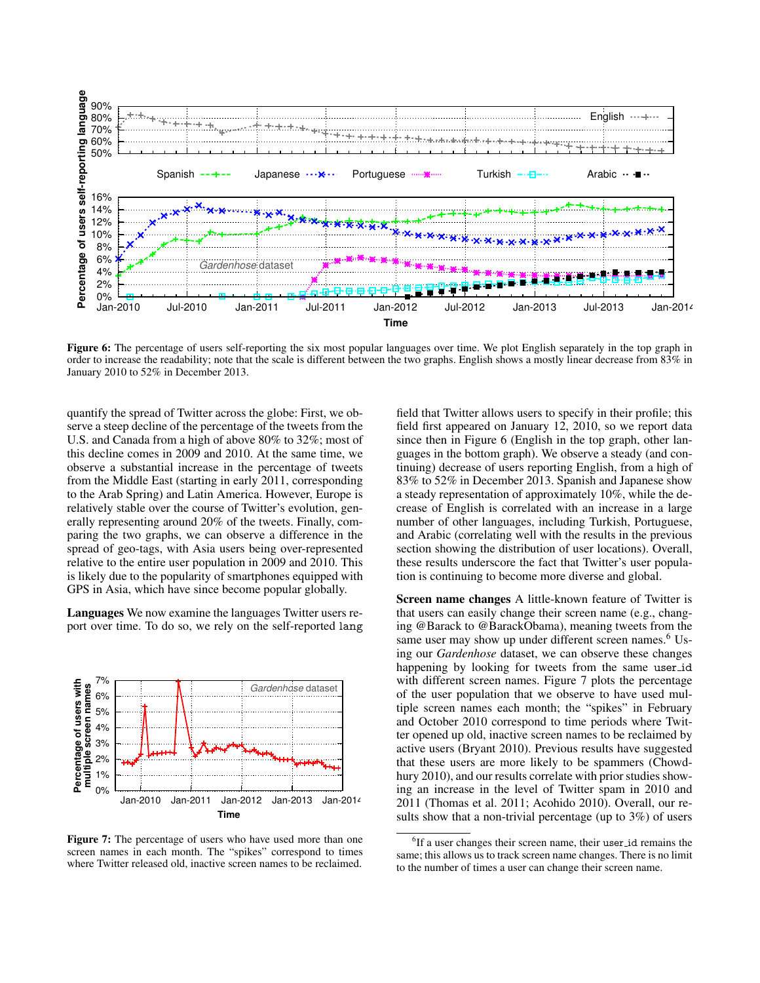

Figure 6: The percentage of users self-reporting the six most popular languages over time. We plot English separately in the top graph in order to increase the readability; note that the scale is different between the two graphs. English shows a mostly linear decrease from 83% in January 2010 to 52% in December 2013.

quantify the spread of Twitter across the globe: First, we observe a steep decline of the percentage of the tweets from the U.S. and Canada from a high of above 80% to 32%; most of this decline comes in 2009 and 2010. At the same time, we observe a substantial increase in the percentage of tweets from the Middle East (starting in early 2011, corresponding to the Arab Spring) and Latin America. However, Europe is relatively stable over the course of Twitter's evolution, generally representing around 20% of the tweets. Finally, comparing the two graphs, we can observe a difference in the spread of geo-tags, with Asia users being over-represented relative to the entire user population in 2009 and 2010. This is likely due to the popularity of smartphones equipped with GPS in Asia, which have since become popular globally.

Languages We now examine the languages Twitter users report over time. To do so, we rely on the self-reported lang



Figure 7: The percentage of users who have used more than one screen names in each month. The "spikes" correspond to times where Twitter released old, inactive screen names to be reclaimed.

field that Twitter allows users to specify in their profile; this field first appeared on January 12, 2010, so we report data since then in Figure 6 (English in the top graph, other languages in the bottom graph). We observe a steady (and continuing) decrease of users reporting English, from a high of 83% to 52% in December 2013. Spanish and Japanese show a steady representation of approximately 10%, while the decrease of English is correlated with an increase in a large number of other languages, including Turkish, Portuguese, and Arabic (correlating well with the results in the previous section showing the distribution of user locations). Overall, these results underscore the fact that Twitter's user population is continuing to become more diverse and global.

Screen name changes A little-known feature of Twitter is that users can easily change their screen name (e.g., changing @Barack to @BarackObama), meaning tweets from the same user may show up under different screen names.<sup>6</sup> Using our *Gardenhose* dataset, we can observe these changes happening by looking for tweets from the same user id with different screen names. Figure 7 plots the percentage of the user population that we observe to have used multiple screen names each month; the "spikes" in February and October 2010 correspond to time periods where Twitter opened up old, inactive screen names to be reclaimed by active users (Bryant 2010). Previous results have suggested that these users are more likely to be spammers (Chowdhury 2010), and our results correlate with prior studies showing an increase in the level of Twitter spam in 2010 and 2011 (Thomas et al. 2011; Acohido 2010). Overall, our results show that a non-trivial percentage (up to 3%) of users

<sup>&</sup>lt;sup>6</sup>If a user changes their screen name, their user\_id remains the same; this allows us to track screen name changes. There is no limit to the number of times a user can change their screen name.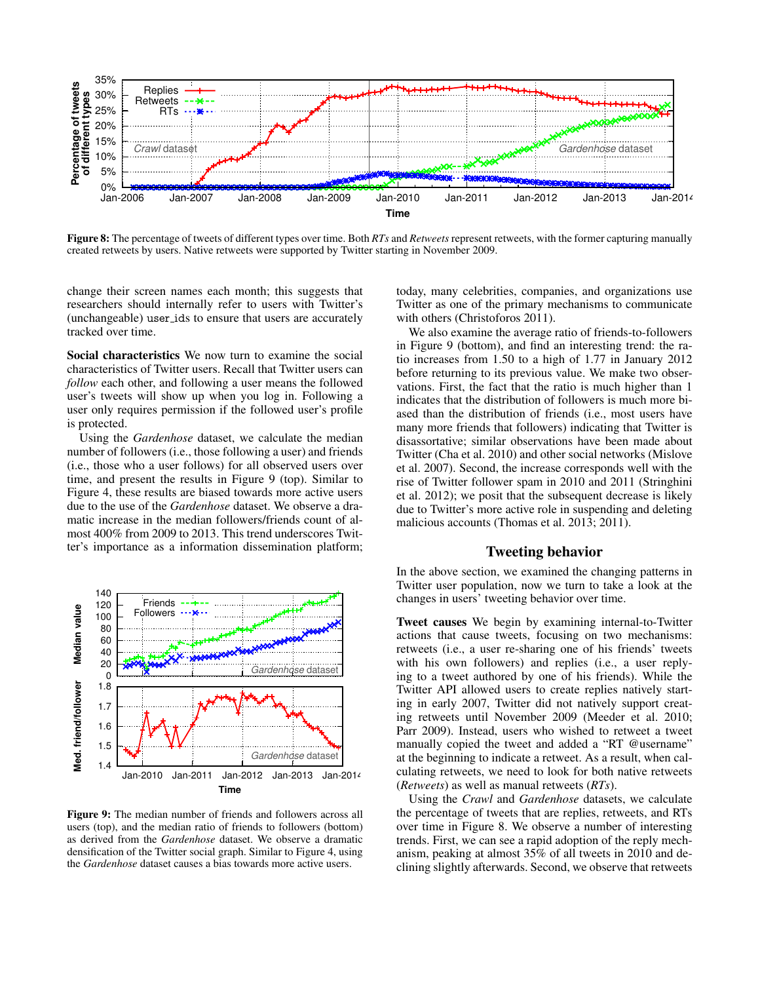

Figure 8: The percentage of tweets of different types over time. Both *RTs* and *Retweets* represent retweets, with the former capturing manually created retweets by users. Native retweets were supported by Twitter starting in November 2009.

change their screen names each month; this suggests that researchers should internally refer to users with Twitter's (unchangeable) user ids to ensure that users are accurately tracked over time.

Social characteristics We now turn to examine the social characteristics of Twitter users. Recall that Twitter users can *follow* each other, and following a user means the followed user's tweets will show up when you log in. Following a user only requires permission if the followed user's profile is protected.

Using the *Gardenhose* dataset, we calculate the median number of followers (i.e., those following a user) and friends (i.e., those who a user follows) for all observed users over time, and present the results in Figure 9 (top). Similar to Figure 4, these results are biased towards more active users due to the use of the *Gardenhose* dataset. We observe a dramatic increase in the median followers/friends count of almost 400% from 2009 to 2013. This trend underscores Twitter's importance as a information dissemination platform;



Figure 9: The median number of friends and followers across all users (top), and the median ratio of friends to followers (bottom) as derived from the *Gardenhose* dataset. We observe a dramatic densification of the Twitter social graph. Similar to Figure 4, using the *Gardenhose* dataset causes a bias towards more active users.

today, many celebrities, companies, and organizations use Twitter as one of the primary mechanisms to communicate with others (Christoforos 2011).

We also examine the average ratio of friends-to-followers in Figure 9 (bottom), and find an interesting trend: the ratio increases from 1.50 to a high of 1.77 in January 2012 before returning to its previous value. We make two observations. First, the fact that the ratio is much higher than 1 indicates that the distribution of followers is much more biased than the distribution of friends (i.e., most users have many more friends that followers) indicating that Twitter is disassortative; similar observations have been made about Twitter (Cha et al. 2010) and other social networks (Mislove et al. 2007). Second, the increase corresponds well with the rise of Twitter follower spam in 2010 and 2011 (Stringhini et al. 2012); we posit that the subsequent decrease is likely due to Twitter's more active role in suspending and deleting malicious accounts (Thomas et al. 2013; 2011).

## Tweeting behavior

In the above section, we examined the changing patterns in Twitter user population, now we turn to take a look at the changes in users' tweeting behavior over time.

Tweet causes We begin by examining internal-to-Twitter actions that cause tweets, focusing on two mechanisms: retweets (i.e., a user re-sharing one of his friends' tweets with his own followers) and replies (i.e., a user replying to a tweet authored by one of his friends). While the Twitter API allowed users to create replies natively starting in early 2007, Twitter did not natively support creating retweets until November 2009 (Meeder et al. 2010; Parr 2009). Instead, users who wished to retweet a tweet manually copied the tweet and added a "RT @username" at the beginning to indicate a retweet. As a result, when calculating retweets, we need to look for both native retweets (*Retweets*) as well as manual retweets (*RTs*).

Using the *Crawl* and *Gardenhose* datasets, we calculate the percentage of tweets that are replies, retweets, and RTs over time in Figure 8. We observe a number of interesting trends. First, we can see a rapid adoption of the reply mechanism, peaking at almost 35% of all tweets in 2010 and declining slightly afterwards. Second, we observe that retweets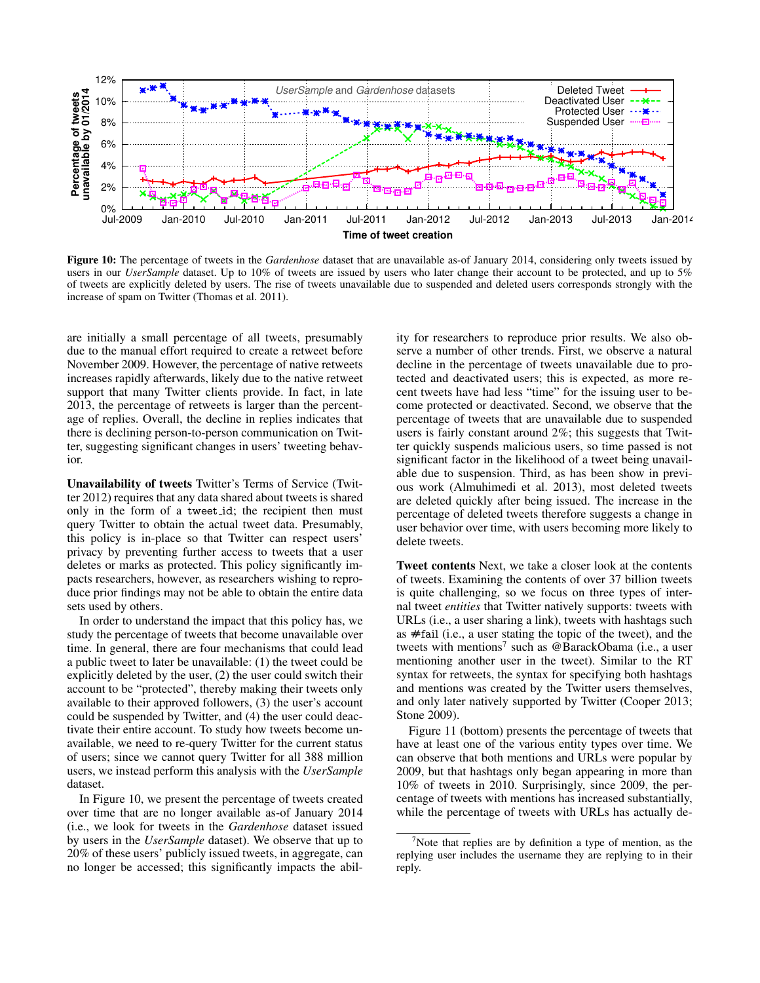

Figure 10: The percentage of tweets in the *Gardenhose* dataset that are unavailable as-of January 2014, considering only tweets issued by users in our *UserSample* dataset. Up to 10% of tweets are issued by users who later change their account to be protected, and up to 5% of tweets are explicitly deleted by users. The rise of tweets unavailable due to suspended and deleted users corresponds strongly with the increase of spam on Twitter (Thomas et al. 2011).

are initially a small percentage of all tweets, presumably due to the manual effort required to create a retweet before November 2009. However, the percentage of native retweets increases rapidly afterwards, likely due to the native retweet support that many Twitter clients provide. In fact, in late 2013, the percentage of retweets is larger than the percentage of replies. Overall, the decline in replies indicates that there is declining person-to-person communication on Twitter, suggesting significant changes in users' tweeting behavior.

Unavailability of tweets Twitter's Terms of Service (Twitter 2012) requires that any data shared about tweets is shared only in the form of a tweet id; the recipient then must query Twitter to obtain the actual tweet data. Presumably, this policy is in-place so that Twitter can respect users' privacy by preventing further access to tweets that a user deletes or marks as protected. This policy significantly impacts researchers, however, as researchers wishing to reproduce prior findings may not be able to obtain the entire data sets used by others.

In order to understand the impact that this policy has, we study the percentage of tweets that become unavailable over time. In general, there are four mechanisms that could lead a public tweet to later be unavailable: (1) the tweet could be explicitly deleted by the user, (2) the user could switch their account to be "protected", thereby making their tweets only available to their approved followers, (3) the user's account could be suspended by Twitter, and (4) the user could deactivate their entire account. To study how tweets become unavailable, we need to re-query Twitter for the current status of users; since we cannot query Twitter for all 388 million users, we instead perform this analysis with the *UserSample* dataset.

In Figure 10, we present the percentage of tweets created over time that are no longer available as-of January 2014 (i.e., we look for tweets in the *Gardenhose* dataset issued by users in the *UserSample* dataset). We observe that up to 20% of these users' publicly issued tweets, in aggregate, can no longer be accessed; this significantly impacts the ability for researchers to reproduce prior results. We also observe a number of other trends. First, we observe a natural decline in the percentage of tweets unavailable due to protected and deactivated users; this is expected, as more recent tweets have had less "time" for the issuing user to become protected or deactivated. Second, we observe that the percentage of tweets that are unavailable due to suspended users is fairly constant around 2%; this suggests that Twitter quickly suspends malicious users, so time passed is not significant factor in the likelihood of a tweet being unavailable due to suspension. Third, as has been show in previous work (Almuhimedi et al. 2013), most deleted tweets are deleted quickly after being issued. The increase in the percentage of deleted tweets therefore suggests a change in user behavior over time, with users becoming more likely to delete tweets.

Tweet contents Next, we take a closer look at the contents of tweets. Examining the contents of over 37 billion tweets is quite challenging, so we focus on three types of internal tweet *entities* that Twitter natively supports: tweets with URLs (i.e., a user sharing a link), tweets with hashtags such as #fail (i.e., a user stating the topic of the tweet), and the tweets with mentions<sup>7</sup> such as @BarackObama (i.e., a user mentioning another user in the tweet). Similar to the RT syntax for retweets, the syntax for specifying both hashtags and mentions was created by the Twitter users themselves, and only later natively supported by Twitter (Cooper 2013; Stone 2009).

Figure 11 (bottom) presents the percentage of tweets that have at least one of the various entity types over time. We can observe that both mentions and URLs were popular by 2009, but that hashtags only began appearing in more than 10% of tweets in 2010. Surprisingly, since 2009, the percentage of tweets with mentions has increased substantially, while the percentage of tweets with URLs has actually de-

<sup>&</sup>lt;sup>7</sup>Note that replies are by definition a type of mention, as the replying user includes the username they are replying to in their reply.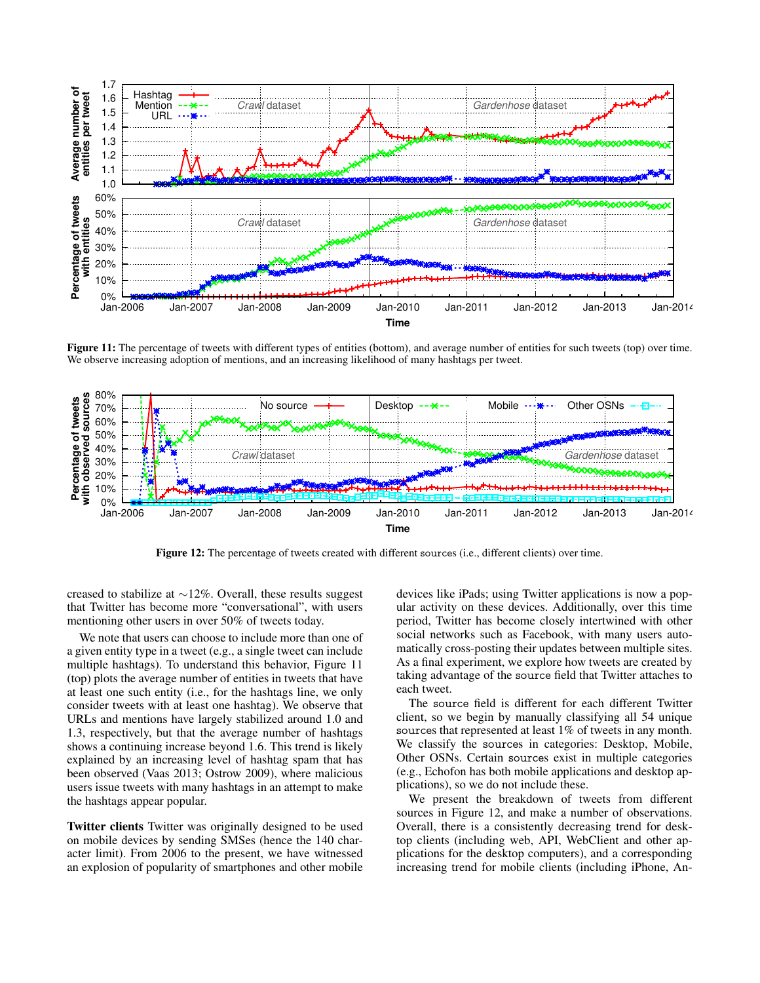

Figure 11: The percentage of tweets with different types of entities (bottom), and average number of entities for such tweets (top) over time. We observe increasing adoption of mentions, and an increasing likelihood of many hashtags per tweet.



Figure 12: The percentage of tweets created with different sources (i.e., different clients) over time.

creased to stabilize at ∼12%. Overall, these results suggest that Twitter has become more "conversational", with users mentioning other users in over 50% of tweets today.

We note that users can choose to include more than one of a given entity type in a tweet (e.g., a single tweet can include multiple hashtags). To understand this behavior, Figure 11 (top) plots the average number of entities in tweets that have at least one such entity (i.e., for the hashtags line, we only consider tweets with at least one hashtag). We observe that URLs and mentions have largely stabilized around 1.0 and 1.3, respectively, but that the average number of hashtags shows a continuing increase beyond 1.6. This trend is likely explained by an increasing level of hashtag spam that has been observed (Vaas 2013; Ostrow 2009), where malicious users issue tweets with many hashtags in an attempt to make the hashtags appear popular.

Twitter clients Twitter was originally designed to be used on mobile devices by sending SMSes (hence the 140 character limit). From 2006 to the present, we have witnessed an explosion of popularity of smartphones and other mobile devices like iPads; using Twitter applications is now a popular activity on these devices. Additionally, over this time period, Twitter has become closely intertwined with other social networks such as Facebook, with many users automatically cross-posting their updates between multiple sites. As a final experiment, we explore how tweets are created by taking advantage of the source field that Twitter attaches to each tweet.

The source field is different for each different Twitter client, so we begin by manually classifying all 54 unique sources that represented at least 1% of tweets in any month. We classify the sources in categories: Desktop, Mobile, Other OSNs. Certain sources exist in multiple categories (e.g., Echofon has both mobile applications and desktop applications), so we do not include these.

We present the breakdown of tweets from different sources in Figure 12, and make a number of observations. Overall, there is a consistently decreasing trend for desktop clients (including web, API, WebClient and other applications for the desktop computers), and a corresponding increasing trend for mobile clients (including iPhone, An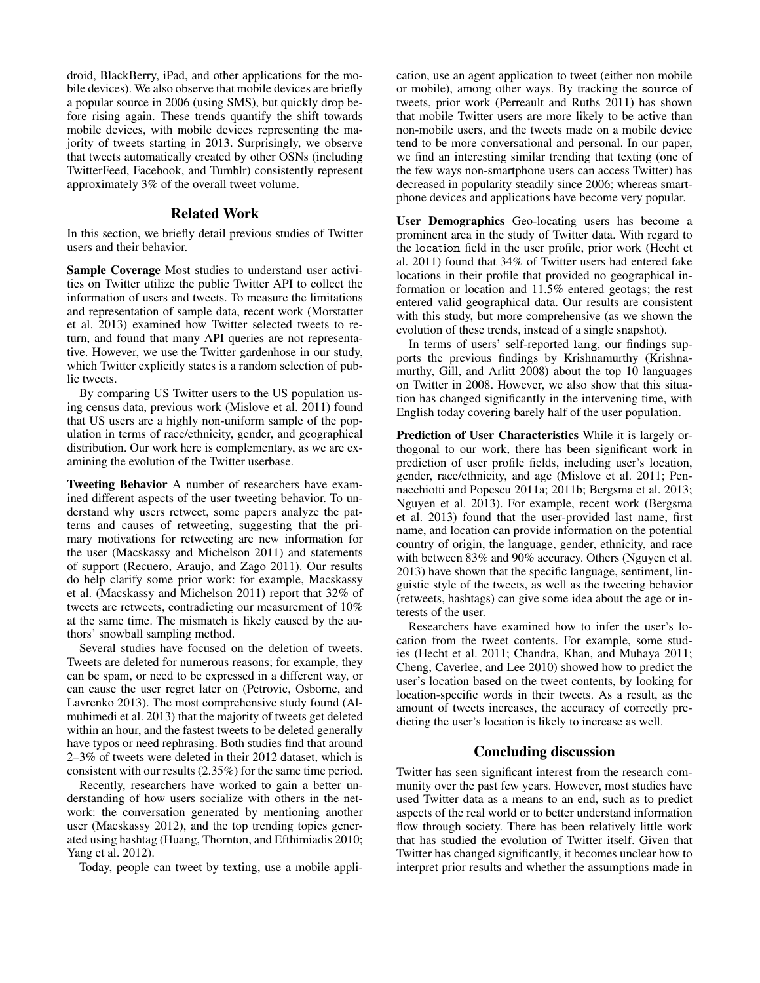droid, BlackBerry, iPad, and other applications for the mobile devices). We also observe that mobile devices are briefly a popular source in 2006 (using SMS), but quickly drop before rising again. These trends quantify the shift towards mobile devices, with mobile devices representing the majority of tweets starting in 2013. Surprisingly, we observe that tweets automatically created by other OSNs (including TwitterFeed, Facebook, and Tumblr) consistently represent approximately 3% of the overall tweet volume.

### Related Work

In this section, we briefly detail previous studies of Twitter users and their behavior.

Sample Coverage Most studies to understand user activities on Twitter utilize the public Twitter API to collect the information of users and tweets. To measure the limitations and representation of sample data, recent work (Morstatter et al. 2013) examined how Twitter selected tweets to return, and found that many API queries are not representative. However, we use the Twitter gardenhose in our study, which Twitter explicitly states is a random selection of public tweets.

By comparing US Twitter users to the US population using census data, previous work (Mislove et al. 2011) found that US users are a highly non-uniform sample of the population in terms of race/ethnicity, gender, and geographical distribution. Our work here is complementary, as we are examining the evolution of the Twitter userbase.

Tweeting Behavior A number of researchers have examined different aspects of the user tweeting behavior. To understand why users retweet, some papers analyze the patterns and causes of retweeting, suggesting that the primary motivations for retweeting are new information for the user (Macskassy and Michelson 2011) and statements of support (Recuero, Araujo, and Zago 2011). Our results do help clarify some prior work: for example, Macskassy et al. (Macskassy and Michelson 2011) report that 32% of tweets are retweets, contradicting our measurement of 10% at the same time. The mismatch is likely caused by the authors' snowball sampling method.

Several studies have focused on the deletion of tweets. Tweets are deleted for numerous reasons; for example, they can be spam, or need to be expressed in a different way, or can cause the user regret later on (Petrovic, Osborne, and Lavrenko 2013). The most comprehensive study found (Almuhimedi et al. 2013) that the majority of tweets get deleted within an hour, and the fastest tweets to be deleted generally have typos or need rephrasing. Both studies find that around 2–3% of tweets were deleted in their 2012 dataset, which is consistent with our results (2.35%) for the same time period.

Recently, researchers have worked to gain a better understanding of how users socialize with others in the network: the conversation generated by mentioning another user (Macskassy 2012), and the top trending topics generated using hashtag (Huang, Thornton, and Efthimiadis 2010; Yang et al. 2012).

Today, people can tweet by texting, use a mobile appli-

cation, use an agent application to tweet (either non mobile or mobile), among other ways. By tracking the source of tweets, prior work (Perreault and Ruths 2011) has shown that mobile Twitter users are more likely to be active than non-mobile users, and the tweets made on a mobile device tend to be more conversational and personal. In our paper, we find an interesting similar trending that texting (one of the few ways non-smartphone users can access Twitter) has decreased in popularity steadily since 2006; whereas smartphone devices and applications have become very popular.

User Demographics Geo-locating users has become a prominent area in the study of Twitter data. With regard to the location field in the user profile, prior work (Hecht et al. 2011) found that 34% of Twitter users had entered fake locations in their profile that provided no geographical information or location and 11.5% entered geotags; the rest entered valid geographical data. Our results are consistent with this study, but more comprehensive (as we shown the evolution of these trends, instead of a single snapshot).

In terms of users' self-reported lang, our findings supports the previous findings by Krishnamurthy (Krishnamurthy, Gill, and Arlitt 2008) about the top 10 languages on Twitter in 2008. However, we also show that this situation has changed significantly in the intervening time, with English today covering barely half of the user population.

Prediction of User Characteristics While it is largely orthogonal to our work, there has been significant work in prediction of user profile fields, including user's location, gender, race/ethnicity, and age (Mislove et al. 2011; Pennacchiotti and Popescu 2011a; 2011b; Bergsma et al. 2013; Nguyen et al. 2013). For example, recent work (Bergsma et al. 2013) found that the user-provided last name, first name, and location can provide information on the potential country of origin, the language, gender, ethnicity, and race with between 83% and 90% accuracy. Others (Nguyen et al. 2013) have shown that the specific language, sentiment, linguistic style of the tweets, as well as the tweeting behavior (retweets, hashtags) can give some idea about the age or interests of the user.

Researchers have examined how to infer the user's location from the tweet contents. For example, some studies (Hecht et al. 2011; Chandra, Khan, and Muhaya 2011; Cheng, Caverlee, and Lee 2010) showed how to predict the user's location based on the tweet contents, by looking for location-specific words in their tweets. As a result, as the amount of tweets increases, the accuracy of correctly predicting the user's location is likely to increase as well.

## Concluding discussion

Twitter has seen significant interest from the research community over the past few years. However, most studies have used Twitter data as a means to an end, such as to predict aspects of the real world or to better understand information flow through society. There has been relatively little work that has studied the evolution of Twitter itself. Given that Twitter has changed significantly, it becomes unclear how to interpret prior results and whether the assumptions made in